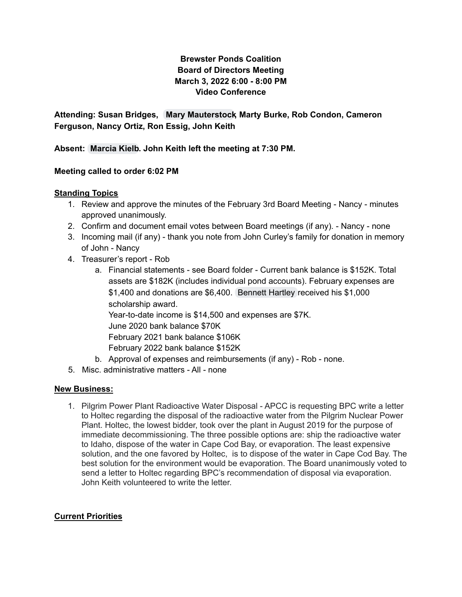## **Brewster Ponds Coalition Board of Directors Meeting March 3, 2022 6:00 - 8:00 PM Video Conference**

**Attending: Susan Bridges, Mary [Mauterstock,](mailto:mary.mauterstock@brewsterponds.org) Marty Burke, Rob Condon, Cameron Ferguson, Nancy Ortiz, Ron Essig, John Keith**

**Absent: [Marcia](mailto:marcia.kielb@brewsterponds.org) Kielb. John Keith left the meeting at 7:30 PM.**

### **Meeting called to order 6:02 PM**

#### **Standing Topics**

- 1. Review and approve the minutes of the February 3rd Board Meeting Nancy minutes approved unanimously.
- 2. Confirm and document email votes between Board meetings (if any). Nancy none
- 3. Incoming mail (if any) thank you note from John Curley's family for donation in memory of John - Nancy
- 4. Treasurer's report Rob
	- a. Financial statements see Board folder Current bank balance is \$152K. Total assets are \$182K (includes individual pond accounts). February expenses are \$1,400 and donations are \$6,400. [Bennett](mailto:bennett.hartley@brewsterponds.org) Hartley received his \$1,000 scholarship award. Year-to-date income is \$14,500 and expenses are \$7K. June 2020 bank balance \$70K February 2021 bank balance \$106K February 2022 bank balance \$152K b. Approval of expenses and reimbursements (if any) - Rob - none.
- 5. Misc. administrative matters All none

#### **New Business:**

1. Pilgrim Power Plant Radioactive Water Disposal - APCC is requesting BPC write a letter to Holtec regarding the disposal of the radioactive water from the Pilgrim Nuclear Power Plant. Holtec, the lowest bidder, took over the plant in August 2019 for the purpose of immediate decommissioning. The three possible options are: ship the radioactive water to Idaho, dispose of the water in Cape Cod Bay, or evaporation. The least expensive solution, and the one favored by Holtec, is to dispose of the water in Cape Cod Bay. The best solution for the environment would be evaporation. The Board unanimously voted to send a letter to Holtec regarding BPC's recommendation of disposal via evaporation. John Keith volunteered to write the letter.

#### **Current Priorities**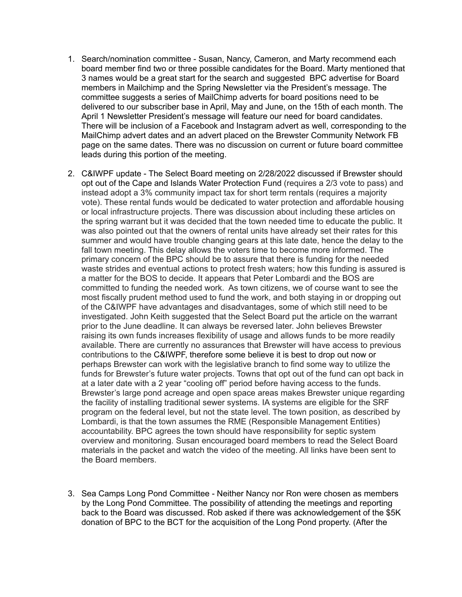- 1. Search/nomination committee Susan, Nancy, Cameron, and Marty recommend each board member find two or three possible candidates for the Board. Marty mentioned that 3 names would be a great start for the search and suggested BPC advertise for Board members in Mailchimp and the Spring Newsletter via the President's message. The committee suggests a series of MailChimp adverts for board positions need to be delivered to our subscriber base in April, May and June, on the 15th of each month. The April 1 Newsletter President's message will feature our need for board candidates. There will be inclusion of a Facebook and Instagram advert as well, corresponding to the MailChimp advert dates and an advert placed on the Brewster Community Network FB page on the same dates. There was no discussion on current or future board committee leads during this portion of the meeting.
- 2. C&IWPF update The Select Board meeting on 2/28/2022 discussed if Brewster should opt out of the Cape and Islands Water Protection Fund (requires a 2/3 vote to pass) and instead adopt a 3% community impact tax for short term rentals (requires a majority vote). These rental funds would be dedicated to water protection and affordable housing or local infrastructure projects. There was discussion about including these articles on the spring warrant but it was decided that the town needed time to educate the public. It was also pointed out that the owners of rental units have already set their rates for this summer and would have trouble changing gears at this late date, hence the delay to the fall town meeting. This delay allows the voters time to become more informed. The primary concern of the BPC should be to assure that there is funding for the needed waste strides and eventual actions to protect fresh waters; how this funding is assured is a matter for the BOS to decide. It appears that Peter Lombardi and the BOS are committed to funding the needed work. As town citizens, we of course want to see the most fiscally prudent method used to fund the work, and both staying in or dropping out of the C&IWPF have advantages and disadvantages, some of which still need to be investigated. John Keith suggested that the Select Board put the article on the warrant prior to the June deadline. It can always be reversed later. John believes Brewster raising its own funds increases flexibility of usage and allows funds to be more readily available. There are currently no assurances that Brewster will have access to previous contributions to the C&IWPF, therefore some believe it is best to drop out now or perhaps Brewster can work with the legislative branch to find some way to utilize the funds for Brewster's future water projects. Towns that opt out of the fund can opt back in at a later date with a 2 year "cooling off" period before having access to the funds. Brewster's large pond acreage and open space areas makes Brewster unique regarding the facility of installing traditional sewer systems. IA systems are eligible for the SRF program on the federal level, but not the state level. The town position, as described by Lombardi, is that the town assumes the RME (Responsible Management Entities) accountability. BPC agrees the town should have responsibility for septic system overview and monitoring. Susan encouraged board members to read the Select Board materials in the packet and watch the video of the meeting. All links have been sent to the Board members.
- 3. Sea Camps Long Pond Committee Neither Nancy nor Ron were chosen as members by the Long Pond Committee. The possibility of attending the meetings and reporting back to the Board was discussed. Rob asked if there was acknowledgement of the \$5K donation of BPC to the BCT for the acquisition of the Long Pond property. (After the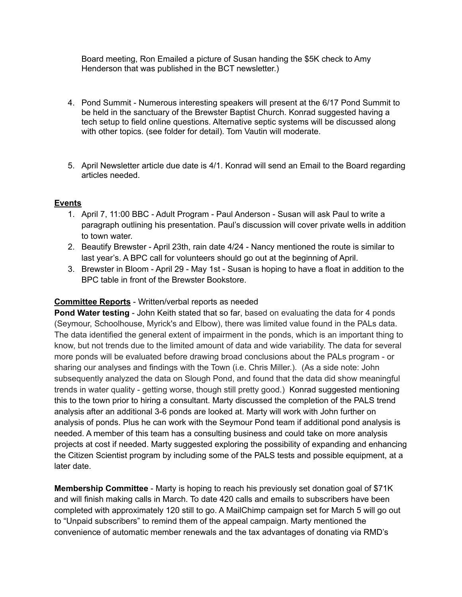Board meeting, Ron Emailed a picture of Susan handing the \$5K check to Amy Henderson that was published in the BCT newsletter.)

- 4. Pond Summit Numerous interesting speakers will present at the 6/17 Pond Summit to be held in the sanctuary of the Brewster Baptist Church. Konrad suggested having a tech setup to field online questions. Alternative septic systems will be discussed along with other topics. (see folder for detail). Tom Vautin will moderate.
- 5. April Newsletter article due date is 4/1. Konrad will send an Email to the Board regarding articles needed.

### **Events**

- 1. April 7, 11:00 BBC Adult Program Paul Anderson Susan will ask Paul to write a paragraph outlining his presentation. Paul's discussion will cover private wells in addition to town water.
- 2. Beautify Brewster April 23th, rain date 4/24 Nancy mentioned the route is similar to last year's. A BPC call for volunteers should go out at the beginning of April.
- 3. Brewster in Bloom April 29 May 1st Susan is hoping to have a float in addition to the BPC table in front of the Brewster Bookstore.

## **Committee Reports** - Written/verbal reports as needed

**Pond Water testing** - John Keith stated that so far, based on evaluating the data for 4 ponds (Seymour, Schoolhouse, Myrick's and Elbow), there was limited value found in the PALs data. The data identified the general extent of impairment in the ponds, which is an important thing to know, but not trends due to the limited amount of data and wide variability. The data for several more ponds will be evaluated before drawing broad conclusions about the PALs program - or sharing our analyses and findings with the Town (i.e. Chris Miller.). (As a side note: John subsequently analyzed the data on Slough Pond, and found that the data did show meaningful trends in water quality - getting worse, though still pretty good.) Konrad suggested mentioning this to the town prior to hiring a consultant. Marty discussed the completion of the PALS trend analysis after an additional 3-6 ponds are looked at. Marty will work with John further on analysis of ponds. Plus he can work with the Seymour Pond team if additional pond analysis is needed. A member of this team has a consulting business and could take on more analysis projects at cost if needed. Marty suggested exploring the possibility of expanding and enhancing the Citizen Scientist program by including some of the PALS tests and possible equipment, at a later date.

**Membership Committee** - Marty is hoping to reach his previously set donation goal of \$71K and will finish making calls in March. To date 420 calls and emails to subscribers have been completed with approximately 120 still to go. A MailChimp campaign set for March 5 will go out to "Unpaid subscribers" to remind them of the appeal campaign. Marty mentioned the convenience of automatic member renewals and the tax advantages of donating via RMD's